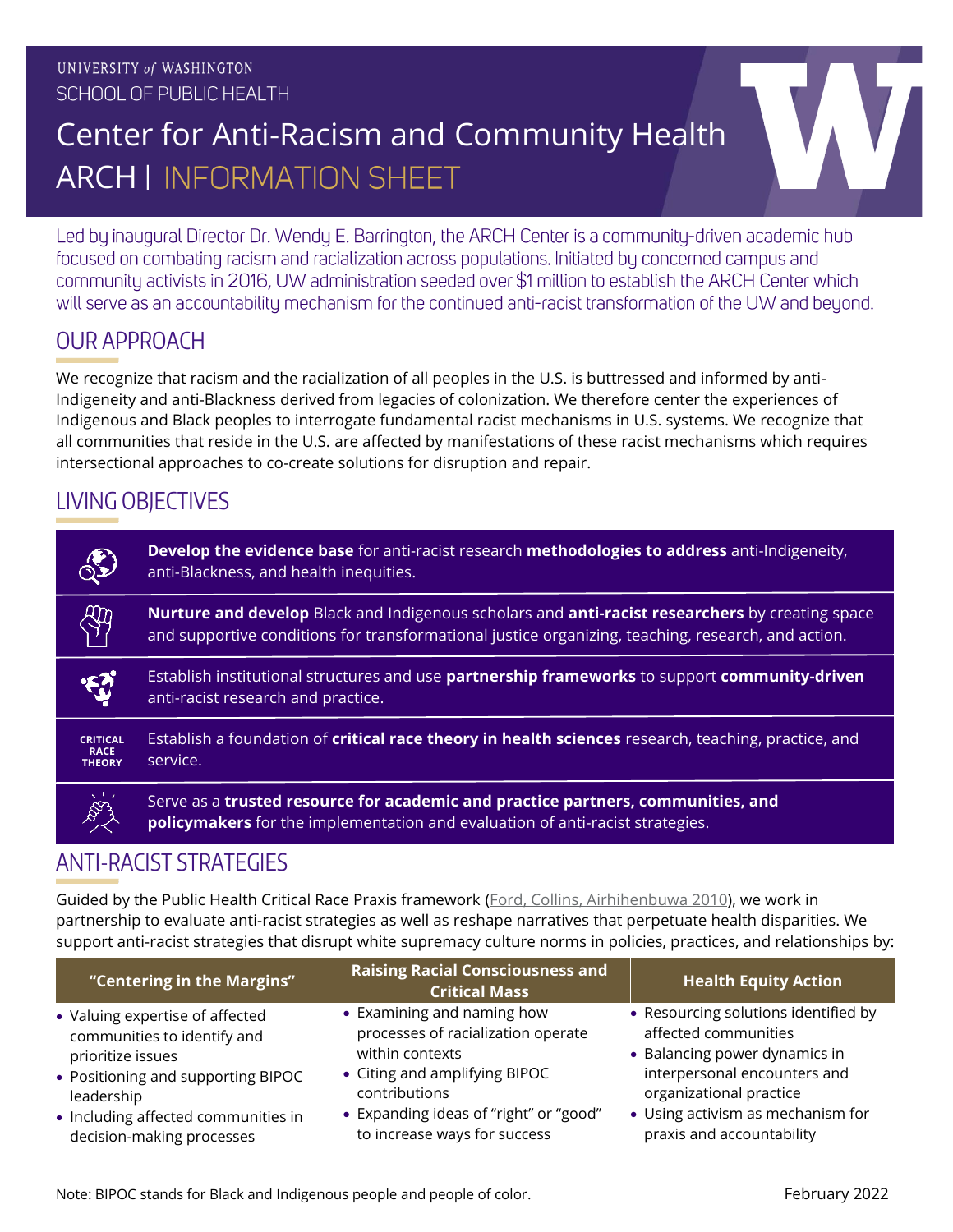# Center for Anti-Racism and Community Health **ARCH | INFORMATION SHEET**

Led by inaugural Director Dr. Wendy E. Barrington, the ARCH Center is a community-driven academic hub focused on combating racism and racialization across populations. Initiated by concerned campus and community activists in 2016, UW administration seeded over \$1 million to establish the ARCH Center which will serve as an accountability mechanism for the continued anti-racist transformation of the UW and beyond.

## OUR APPROACH

 $\overline{\mathsf{W}}$ e recognize that racism and the racialization of all peoples in the U.S. is buttressed and informed by anti-Indigeneity and anti-Blackness derived from legacies of colonization. We therefore center the experiences of Indigenous and Black peoples to interrogate fundamental racist mechanisms in U.S. systems. We recognize that all communities that reside in the U.S. are affected by manifestations of these racist mechanisms which requires intersectional approaches to co-create solutions for disruption and repair.

### LIVING OBJECTIVES

|                                                 | Develop the evidence base for anti-racist research methodologies to address anti-Indigeneity,<br>anti-Blackness, and health inequities.                                                                             |
|-------------------------------------------------|---------------------------------------------------------------------------------------------------------------------------------------------------------------------------------------------------------------------|
|                                                 | <b>Nurture and develop</b> Black and Indigenous scholars and <b>anti-racist researchers</b> by creating space<br>and supportive conditions for transformational justice organizing, teaching, research, and action. |
|                                                 | Establish institutional structures and use partnership frameworks to support community-driven<br>anti-racist research and practice.                                                                                 |
| <b>CRITICAL</b><br><b>RACE</b><br><b>THEORY</b> | Establish a foundation of <b>critical race theory in health sciences</b> research, teaching, practice, and<br>service.                                                                                              |
|                                                 | Serve as a trusted resource for academic and practice partners, communities, and<br><b>policymakers</b> for the implementation and evaluation of anti-racist strategies.                                            |

#### ANTI-RACIST STRATEGIES

Guided by the Public Health Critical Race Praxis framework [\(Ford, Collins, Airhihenbuwa](https://ajph.aphapublications.org/doi/pdf/10.2105/AJPH.2009.171058) 2010), we work in partnership to evaluate anti-racist strategies as well as reshape narratives that perpetuate health disparities. We support anti-racist strategies that disrupt white supremacy culture norms in policies, practices, and relationships by:

| "Centering in the Margins"          | <b>Raising Racial Consciousness and</b><br><b>Critical Mass</b> | <b>Health Equity Action</b>          |
|-------------------------------------|-----------------------------------------------------------------|--------------------------------------|
| • Valuing expertise of affected     | • Examining and naming how                                      | • Resourcing solutions identified by |
| communities to identify and         | processes of racialization operate                              | affected communities                 |
| prioritize issues                   | within contexts                                                 | • Balancing power dynamics in        |
| • Positioning and supporting BIPOC  | • Citing and amplifying BIPOC                                   | interpersonal encounters and         |
| leadership                          | contributions                                                   | organizational practice              |
| • Including affected communities in | • Expanding ideas of "right" or "good"                          | • Using activism as mechanism for    |
| decision-making processes           | to increase ways for success                                    | praxis and accountability            |